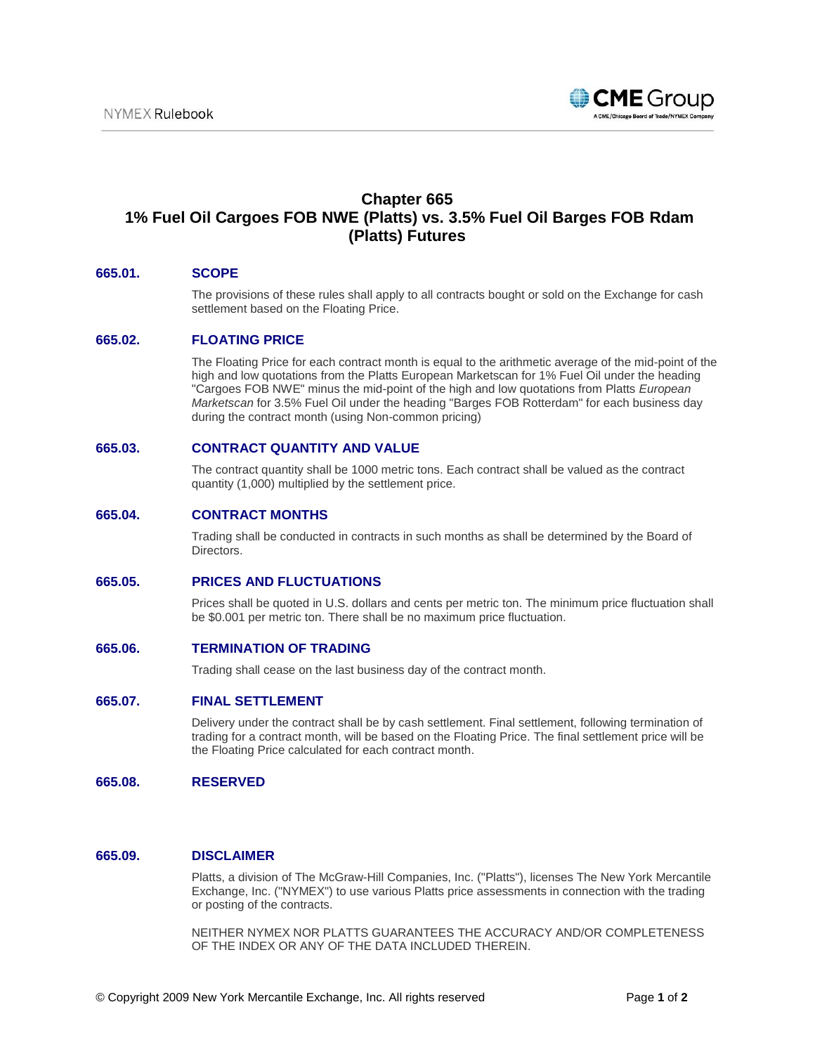

# **Chapter 665 1% Fuel Oil Cargoes FOB NWE (Platts) vs. 3.5% Fuel Oil Barges FOB Rdam (Platts) Futures**

### **665.01. SCOPE**

The provisions of these rules shall apply to all contracts bought or sold on the Exchange for cash settlement based on the Floating Price.

#### **665.02. FLOATING PRICE**

The Floating Price for each contract month is equal to the arithmetic average of the mid-point of the high and low quotations from the Platts European Marketscan for 1% Fuel Oil under the heading "Cargoes FOB NWE" minus the mid-point of the high and low quotations from Platts *European Marketscan* for 3.5% Fuel Oil under the heading "Barges FOB Rotterdam" for each business day during the contract month (using Non-common pricing)

#### **665.03. CONTRACT QUANTITY AND VALUE**

The contract quantity shall be 1000 metric tons. Each contract shall be valued as the contract quantity (1,000) multiplied by the settlement price.

#### **665.04. CONTRACT MONTHS**

Trading shall be conducted in contracts in such months as shall be determined by the Board of Directors.

#### **665.05. PRICES AND FLUCTUATIONS**

Prices shall be quoted in U.S. dollars and cents per metric ton. The minimum price fluctuation shall be \$0.001 per metric ton. There shall be no maximum price fluctuation.

#### **665.06. TERMINATION OF TRADING**

Trading shall cease on the last business day of the contract month.

#### **665.07. FINAL SETTLEMENT**

Delivery under the contract shall be by cash settlement. Final settlement, following termination of trading for a contract month, will be based on the Floating Price. The final settlement price will be the Floating Price calculated for each contract month.

#### **665.08. RESERVED**

## **665.09. DISCLAIMER**

Platts, a division of The McGraw-Hill Companies, Inc. ("Platts"), licenses The New York Mercantile Exchange, Inc. ("NYMEX") to use various Platts price assessments in connection with the trading or posting of the contracts.

NEITHER NYMEX NOR PLATTS GUARANTEES THE ACCURACY AND/OR COMPLETENESS OF THE INDEX OR ANY OF THE DATA INCLUDED THEREIN.